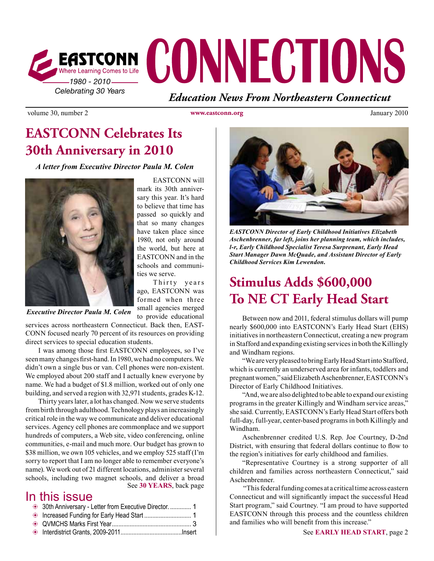

volume 30, number 2 **www.eastconn.org** January 2010

# **EASTCONN Celebrates Its 30th Anniversary in 2010**

*A letter from Executive Director Paula M. Colen*



*Executive Director Paula M. Colen*

services across northeastern Connecticut. Back then, EAST-CONN focused nearly 70 percent of its resources on providing direct services to special education students.

 I was among those frst EASTCONN employees, so I've seen many changes first-hand. In 1980, we had no computers. We didn't own a single bus or van. Cell phones were non-existent. We employed about 200 staff and I actually knew everyone by name. We had a budget of \$1.8 million, worked out of only one building, and served a region with 32,971 students, grades K-12.

See **30 YEARS**, back page Thirty years later, a lot has changed. Now we serve students from birth through adulthood. Technology plays an increasingly critical role in the way we communicate and deliver educational services. Agency cell phones are commonplace and we support hundreds of computers, a Web site, video conferencing, online communities, e-mail and much more. Our budget has grown to \$38 million, we own 105 vehicles, and we employ 525 staff (I'm sorry to report that I am no longer able to remember everyone's name). We work out of 21 different locations, administer several schools, including two magnet schools, and deliver a broad

### In this issue

|  | <sup>3</sup> 30th Anniversary - Letter from Executive Director.  1 |  |
|--|--------------------------------------------------------------------|--|
|--|--------------------------------------------------------------------|--|

- b Increased Funding for Early Head Start ............................. 1
- b QVMCHS Marks First Year................................................. 3
- b Interdistrict Grants, 2009-2011......................................Insert

EASTCONN will mark its 30th anniversary this year. It's hard to believe that time has passed so quickly and that so many changes have taken place since 1980, not only around the world, but here at EASTCONN and in the schools and communities we serve.

Thirty years ago, EASTCONN was formed when three small agencies merged to provide educational



*EASTCONN Director of Early Childhood Initiatives Elizabeth Aschenbrenner, far left, joins her planning team, which includes, l-r, Early Childhood Specialist Teresa Surprenant, Early Head Start Manager Dawn McQuade, and Assistant Director of Early Childhood Services Kim Lewendon.* 

# **Stimulus Adds \$600,000 To NE CT Early Head Start**

Between now and 2011, federal stimulus dollars will pump nearly \$600,000 into EASTCONN's Early Head Start (EHS) initiatives in northeastern Connecticut, creating a new program in Stafford and expanding existing services in both the Killingly and Windham regions.

"We are very pleased to bring Early Head Start into Stafford, which is currently an underserved area for infants, toddlers and pregnant women," said Elizabeth Aschenbrenner, EASTCONN's Director of Early Childhood Initiatives.

"And, we are also delighted to be able to expand our existing programs in the greater Killingly and Windham service areas," she said. Currently, EASTCONN's Early Head Start offers both full-day, full-year, center-based programs in both Killingly and Windham.

Aschenbrenner credited U.S. Rep. Joe Courtney, D-2nd District, with ensuring that federal dollars continue to flow to the region's initiatives for early childhood and families.

"Representative Courtney is a strong supporter of all children and families across northeastern Connecticut," said Aschenbrenner.

 "This federal funding comes at a critical time across eastern Connecticut and will signifcantly impact the successful Head Start program," said Courtney. "I am proud to have supported EASTCONN through this process and the countless children and families who will beneft from this increase."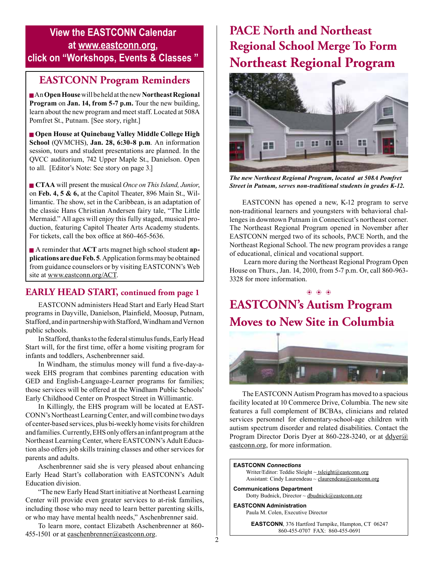### **View the EASTCONN Calendar at <www.eastconn.org>, click on "Workshops, Events & Classes "**

### **EASTCONN Program Reminders**

<sup>g</sup> An **Open House** will be held at the new **Northeast Regional Program** on **Jan. 14, from 5-7 p.m.** Tour the new building, learn about the new program and meetstaff. Located at 508A Pomfret St., Putnam. [See story, right.]

<sup>g</sup> **Open House at Quinebaug Valley Middle College High School** (QVMCHS), **Jan. 28, 6:30-8 p.m**. An information session, tours and student presentations are planned. In the QVCC auditorium, 742 Upper Maple St., Danielson. Open to all. [Editor's Note: See story on page 3.]

<sup>g</sup>**CTAA** will present the musical *Once on This Island, Junior*, on **Feb. 4, 5 & 6,** at the Capitol Theater, 896 Main St., Willimantic. The show, set in the Caribbean, is an adaptation of the classic Hans Christian Andersen fairy tale, "The Little Mermaid." All ages will enjoy this fully staged, musical production, featuring Capitol Theater Arts Academy students. For tickets, call the box office at 860-465-5636.

**Exercise A reminder that ACT** arts magnet high school student **applications are due Feb. 5**. Application forms may be obtained from guidance counselors or by visiting EASTCONN's Web site at <www.eastconn.org/ACT>.

### **EARLY HEAD START, continued from page 1**

 EASTCONN administers Head Start and Early Head Start programs in Dayville, Danielson, Plainfeld, Moosup, Putnam, Stafford, and in partnership with Stafford, Windham and Vernon public schools.

In Stafford, thanks to the federal stimulus funds, Early Head Start will, for the frst time, offer a home visiting program for infants and toddlers, Aschenbrenner said.

 In Windham, the stimulus money will fund a fve-day-aweek EHS program that combines parenting education with GED and English-Language-Learner programs for families; those services will be offered at the Windham Public Schools' Early Childhood Center on Prospect Street in Willimantic.

 In Killingly, the EHS program will be located at EAST-CONN's NortheastLearningCenter, and will combine two days of center-based services, plus bi-weekly home visits for children and families. Currently, EHS only offers an infant program at the Northeast Learning Center, where EASTCONN's Adult Education also offers job skills training classes and other services for parents and adults.

Aschenbrenner said she is very pleased about enhancing Early Head Start's collaboration with EASTCONN's Adult Education division.

 "The new Early Head Start initiative at Northeast Learning Center will provide even greater services to at-risk families, including those who may need to learn better parenting skills, or who may have mental health needs," Aschenbrenner said.

 To learn more, contact Elizabeth Aschenbrenner at 860 455-1501 or at [easchenbrenner@eastconn.org](mailto:easchenbrenner@eastconn.org).

# **PACE North and Northeast Regional School Merge To Form Northeast Regional Program**



*The new Northeast Regional Program, located at 508A Pomfret Street in Putnam, serves non-traditional students in grades K-12.*

EASTCONN has opened a new, K-12 program to serve non-traditional learners and youngsters with behavioral challenges in downtown Putnam in Connecticut's northeast corner. The Northeast Regional Program opened in November after EASTCONN merged two of its schools, PACE North, and the Northeast Regional School. The new program provides a range of educational, clinical and vocational support.

Learn more during the Northeast Regional Program Open House on Thurs., Jan. 14, 2010, from 5-7 p.m. Or, call 860-963- 3328 for more information.

### **EASTCONN's Autism Program Moves to New Site in Columbia**   $\circledast$   $\circledast$   $\circledast$



 The EASTCONN Autism Program has moved to a spacious facility located at 10 Commerce Drive, Columbia. The new site features a full complement of BCBAs, clinicians and related services personnel for elementary-school-age children with autism spectrum disorder and related disabilities. Contact the Program Director Doris Dyer at 860-228-3240, or at [ddyer@](http://mailto:ddyer@eastconn.org) [eastconn.org,](http://mailto:ddyer@eastconn.org) for more information.

#### **EASTCONN** *Connections*

Writer/Editor: Teddie Sleight ~ tsleigh[t@eastconn.org](mailto:tsleight@eastconn.org) Assistant: Cindy Laurendeau ~ [claurendeau@eastconn.org](mailto:claurendeau@eastconn.org)

**[Communications Department](%20mailto:connections@eastconn.org)** Dotty [Budnick,](mailto:dbudnick@eastconn.org) Director ~ dbudnick@eastconn.org

**EASTCONN Administration** Paula M. Colen, Executive Director

> **EASTCONN**, 376 Hartford Turnpike, Hampton, CT 06247 860-455-0707 FAX: 860-455-0691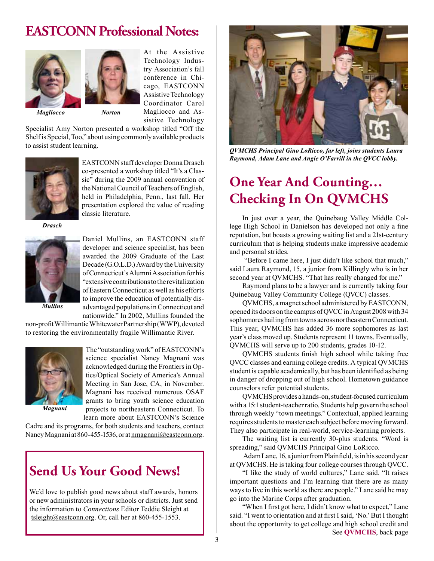## **EASTCONN Professional Notes:**



At the Assistive Technology Industry Association's fall conference in Chicago, EASTCONN Assistive Technology Coordinator Carol Magliocco and Assistive Technology

 *Magliocco Norton*

Specialist Amy Norton presented a workshop titled "Off the Shelf is Special, Too," about using commonly available products to assist student learning.



EASTCONN staff developer Donna Drasch co-presented a workshop titled "It's a Classic" during the 2009 annual convention of the National Council of Teachers of English, held in Philadelphia, Penn., last fall. Her presentation explored the value of reading classic literature.

*Drasch*



Daniel Mullins, an EASTCONN staff developer and science specialist, has been awarded the 2009 Graduate of the Last Decade (G.O.L.D.) Award by the University of Connecticut's Alumni Association for his "extensive contributions to the revitalization of Eastern Connecticut as well as his efforts to improve the education of potentially disadvantaged populations in Connecticut and nationwide." In 2002, Mullins founded the

*Mullins*

non-profit Willimantic Whitewater Partnership (WWP), devoted to restoring the environmentally fragile Willimantic River.



The "outstanding work" of EASTCONN's science specialist Nancy Magnani was acknowledged during the Frontiersin Optics/Optical Society of America's Annual Meeting in San Jose, CA, in November. Magnani has received numerous OSAF grants to bring youth science education projects to northeastern Connecticut. To learn more about EASTCONN's Science

*Magnani*

Cadre and its programs, for both students and teachers, contact Nancy Magnani at 860-455-1536, or at [nmagnani@eastconn.org.](http://mailto:nmagnani@eastconn.org)

# **Send Us Your Good News!**

We'd love to publish good news about staff awards, honors or new administrators in your schools or districts. Just send the information to *Connections* Editor Teddie Sleight at [tsleight@eastconn.org](mailto:tsleight@eastconn.org). Or, call her at 860-455-1553.



*QVMCHS Principal Gino LoRicco, far left, joins students Laura Raymond, Adam Lane and Angie O'Farrill in the QVCC lobby.* 

# **One Year And Counting… Checking In On QVMCHS**

In just over a year, the Quinebaug Valley Middle College High School in Danielson has developed not only a fne reputation, but boasts a growing waiting list and a 21st-century curriculum that is helping students make impressive academic and personal strides.

 "Before I came here, I just didn't like school that much," said Laura Raymond, 15, a junior from Killingly who is in her second year at QVMCHS. "That has really changed for me."

Raymond plans to be a lawyer and is currently taking four Quinebaug Valley Community College (QVCC) classes.

QVMCHS, a magnet school administered by EASTCONN, opened its doors on the campus of QVCC in August 2008 with 34 sophomores hailing from towns across northeastern Connecticut. This year, QVMCHS has added 36 more sophomores as last year's class moved up. Students represent 11 towns. Eventually, QVMCHS will serve up to 200 students, grades 10-12.

QVMCHS students fnish high school while taking free QVCC classes and earning college credits. A typical QVMCHS student is capable academically, but has been identifed as being in danger of dropping out of high school. Hometown guidance counselors refer potential students.

QVMCHSprovides ahands-on,student-focusedcurriculum with a 15:1 student-teacher ratio. Students help govern the school through weekly "town meetings." Contextual, applied learning requires students to master each subject before moving forward. They also participate in real-world, service-learning projects.

The waiting list is currently 30-plus students. "Word is spreading," said QVMCHS Principal Gino LoRicco.

Adam Lane, 16, a junior from Plainfield, is in his second year at QVMCHS. He is taking four college courses through QVCC.

"I like the study of world cultures," Lane said. "It raises important questions and I'm learning that there are as many ways to live in this world as there are people." Lane said he may go into the Marine Corps after graduation.

"When I frst got here, I didn't know what to expect," Lane said. "I went to orientation and at frst I said, 'No.' But I thought about the opportunity to get college and high school credit and See **QVMCHS**, back page